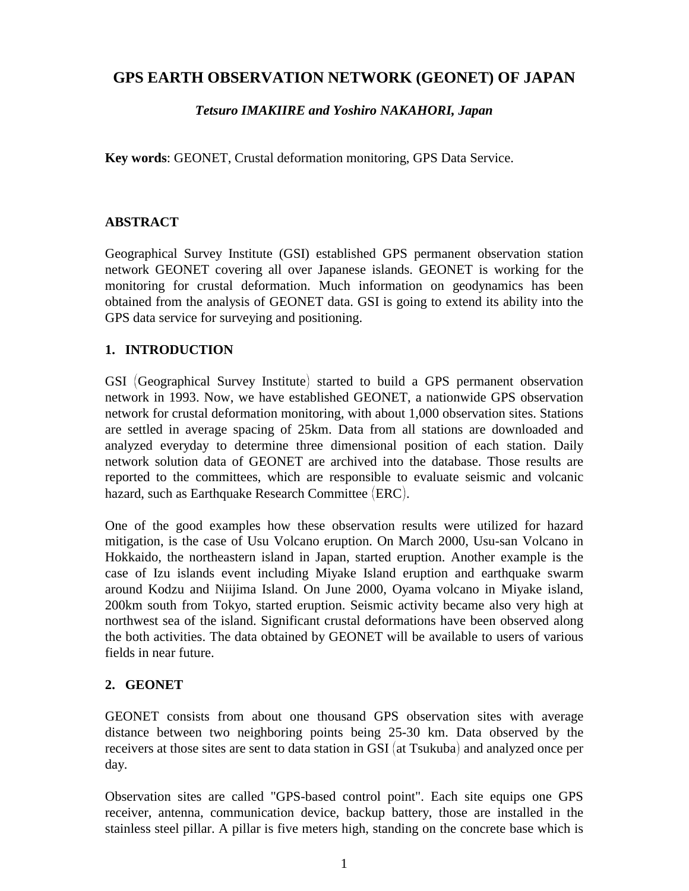## **GPS EARTH OBSERVATION NETWORK (GEONET) OF JAPAN**

#### *Tetsuro IMAKIIRE and Yoshiro NAKAHORI, Japan*

**Key words**: GEONET, Crustal deformation monitoring, GPS Data Service.

#### **ABSTRACT**

Geographical Survey Institute (GSI) established GPS permanent observation station network GEONET covering all over Japanese islands. GEONET is working for the monitoring for crustal deformation. Much information on geodynamics has been obtained from the analysis of GEONET data. GSI is going to extend its ability into the GPS data service for surveying and positioning.

### **1. INTRODUCTION**

GSI (Geographical Survey Institute) started to build a GPS permanent observation network in 1993. Now, we have established GEONET, a nationwide GPS observation network for crustal deformation monitoring, with about 1,000 observation sites. Stations are settled in average spacing of 25km. Data from all stations are downloaded and analyzed everyday to determine three dimensional position of each station. Daily network solution data of GEONET are archived into the database. Those results are reported to the committees, which are responsible to evaluate seismic and volcanic hazard, such as Earthquake Research Committee (ERC).

One of the good examples how these observation results were utilized for hazard mitigation, is the case of Usu Volcano eruption. On March 2000, Usu-san Volcano in Hokkaido, the northeastern island in Japan, started eruption. Another example is the case of Izu islands event including Miyake Island eruption and earthquake swarm around Kodzu and Niijima Island. On June 2000, Oyama volcano in Miyake island, 200km south from Tokyo, started eruption. Seismic activity became also very high at northwest sea of the island. Significant crustal deformations have been observed along the both activities. The data obtained by GEONET will be available to users of various fields in near future.

#### **2. GEONET**

GEONET consists from about one thousand GPS observation sites with average distance between two neighboring points being 25-30 km. Data observed by the receivers at those sites are sent to data station in GSI (at Tsukuba) and analyzed once per day.

Observation sites are called "GPS-based control point". Each site equips one GPS receiver, antenna, communication device, backup battery, those are installed in the stainless steel pillar. A pillar is five meters high, standing on the concrete base which is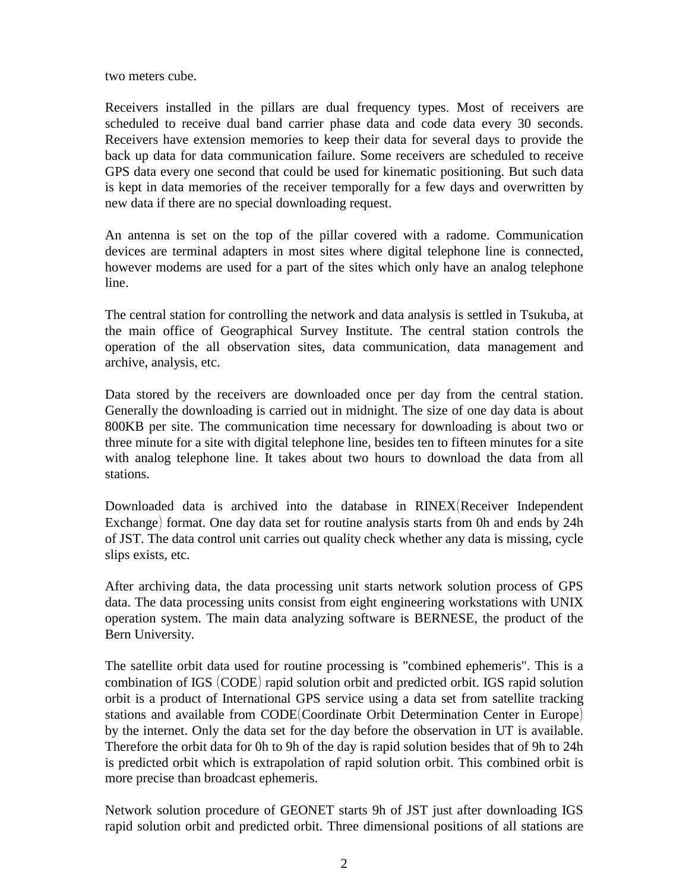two meters cube.

Receivers installed in the pillars are dual frequency types. Most of receivers are scheduled to receive dual band carrier phase data and code data every 30 seconds. Receivers have extension memories to keep their data for several days to provide the back up data for data communication failure. Some receivers are scheduled to receive GPS data every one second that could be used for kinematic positioning. But such data is kept in data memories of the receiver temporally for a few days and overwritten by new data if there are no special downloading request.

An antenna is set on the top of the pillar covered with a radome. Communication devices are terminal adapters in most sites where digital telephone line is connected, however modems are used for a part of the sites which only have an analog telephone line.

The central station for controlling the network and data analysis is settled in Tsukuba, at the main office of Geographical Survey Institute. The central station controls the operation of the all observation sites, data communication, data management and archive, analysis, etc.

Data stored by the receivers are downloaded once per day from the central station. Generally the downloading is carried out in midnight. The size of one day data is about 800KB per site. The communication time necessary for downloading is about two or three minute for a site with digital telephone line, besides ten to fifteen minutes for a site with analog telephone line. It takes about two hours to download the data from all stations.

Downloaded data is archived into the database in RINEX Receiver Independent Exchange) format. One day data set for routine analysis starts from 0h and ends by 24h of JST. The data control unit carries out quality check whether any data is missing, cycle slips exists, etc.

After archiving data, the data processing unit starts network solution process of GPS data. The data processing units consist from eight engineering workstations with UNIX operation system. The main data analyzing software is BERNESE, the product of the Bern University.

The satellite orbit data used for routine processing is "combined ephemeris". This is a combination of IGS (CODE) rapid solution orbit and predicted orbit. IGS rapid solution orbit is a product of International GPS service using a data set from satellite tracking stations and available from CODE Coordinate Orbit Determination Center in Europe) by the internet. Only the data set for the day before the observation in UT is available. Therefore the orbit data for 0h to 9h of the day is rapid solution besides that of 9h to 24h is predicted orbit which is extrapolation of rapid solution orbit. This combined orbit is more precise than broadcast ephemeris.

Network solution procedure of GEONET starts 9h of JST just after downloading IGS rapid solution orbit and predicted orbit. Three dimensional positions of all stations are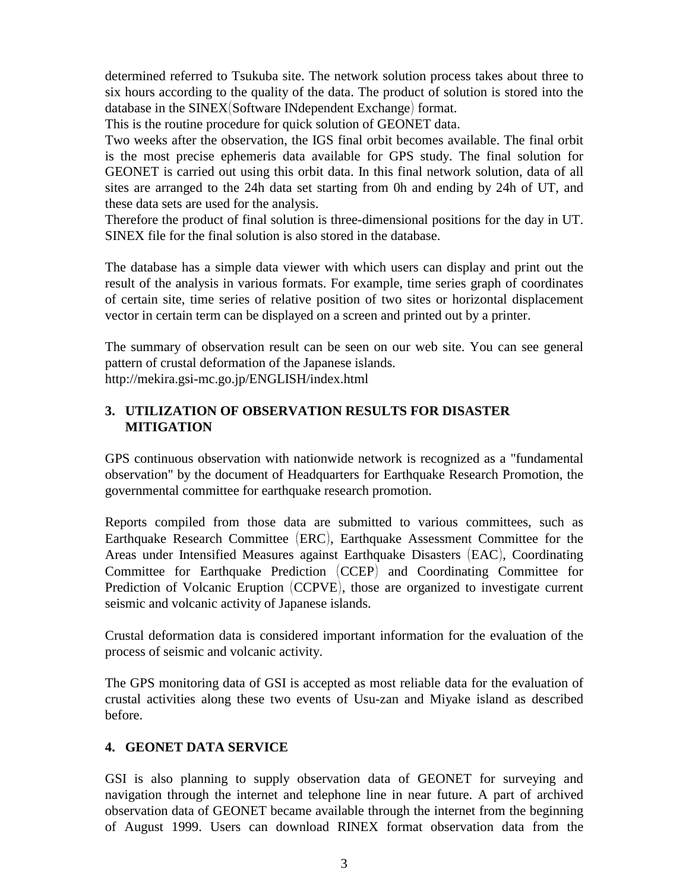determined referred to Tsukuba site. The network solution process takes about three to six hours according to the quality of the data. The product of solution is stored into the database in the  $\text{SINEX}(\text{Software}\text{ \textsf{Independent} Exchange})$  format.

This is the routine procedure for quick solution of GEONET data.

Two weeks after the observation, the IGS final orbit becomes available. The final orbit is the most precise ephemeris data available for GPS study. The final solution for GEONET is carried out using this orbit data. In this final network solution, data of all sites are arranged to the 24h data set starting from 0h and ending by 24h of UT, and these data sets are used for the analysis.

Therefore the product of final solution is three-dimensional positions for the day in UT. SINEX file for the final solution is also stored in the database.

The database has a simple data viewer with which users can display and print out the result of the analysis in various formats. For example, time series graph of coordinates of certain site, time series of relative position of two sites or horizontal displacement vector in certain term can be displayed on a screen and printed out by a printer.

The summary of observation result can be seen on our web site. You can see general pattern of crustal deformation of the Japanese islands. http://mekira.gsi-mc.go.jp/ENGLISH/index.html

#### **3. UTILIZATION OF OBSERVATION RESULTS FOR DISASTER MITIGATION**

GPS continuous observation with nationwide network is recognized as a "fundamental observation" by the document of Headquarters for Earthquake Research Promotion, the governmental committee for earthquake research promotion.

Reports compiled from those data are submitted to various committees, such as Earthquake Research Committee (ERC), Earthquake Assessment Committee for the Areas under Intensified Measures against Earthquake Disasters (EAC), Coordinating Committee for Earthquake Prediction (CCEP) and Coordinating Committee for Prediction of Volcanic Eruption (CCPVE), those are organized to investigate current seismic and volcanic activity of Japanese islands.

Crustal deformation data is considered important information for the evaluation of the process of seismic and volcanic activity.

The GPS monitoring data of GSI is accepted as most reliable data for the evaluation of crustal activities along these two events of Usu-zan and Miyake island as described before.

#### **4. GEONET DATA SERVICE**

GSI is also planning to supply observation data of GEONET for surveying and navigation through the internet and telephone line in near future. A part of archived observation data of GEONET became available through the internet from the beginning of August 1999. Users can download RINEX format observation data from the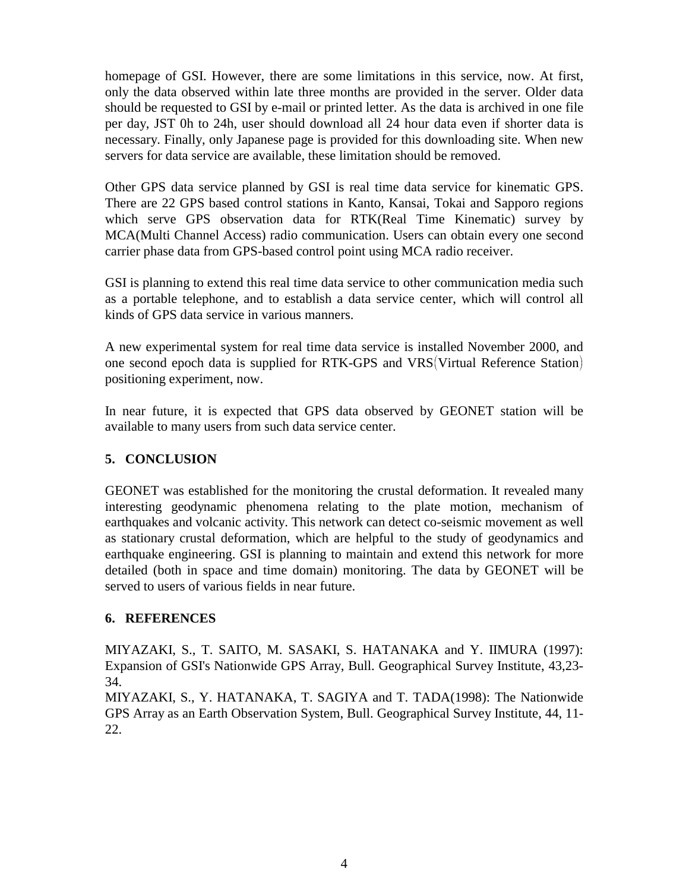homepage of GSI. However, there are some limitations in this service, now. At first, only the data observed within late three months are provided in the server. Older data should be requested to GSI by e-mail or printed letter. As the data is archived in one file per day, JST 0h to 24h, user should download all 24 hour data even if shorter data is necessary. Finally, only Japanese page is provided for this downloading site. When new servers for data service are available, these limitation should be removed.

Other GPS data service planned by GSI is real time data service for kinematic GPS. There are 22 GPS based control stations in Kanto, Kansai, Tokai and Sapporo regions which serve GPS observation data for RTK(Real Time Kinematic) survey by MCA(Multi Channel Access) radio communication. Users can obtain every one second carrier phase data from GPS-based control point using MCA radio receiver.

GSI is planning to extend this real time data service to other communication media such as a portable telephone, and to establish a data service center, which will control all kinds of GPS data service in various manners.

A new experimental system for real time data service is installed November 2000, and one second epoch data is supplied for RTK-GPS and VRS Virtual Reference Station positioning experiment, now.

In near future, it is expected that GPS data observed by GEONET station will be available to many users from such data service center.

#### **5. CONCLUSION**

GEONET was established for the monitoring the crustal deformation. It revealed many interesting geodynamic phenomena relating to the plate motion, mechanism of earthquakes and volcanic activity. This network can detect co-seismic movement as well as stationary crustal deformation, which are helpful to the study of geodynamics and earthquake engineering. GSI is planning to maintain and extend this network for more detailed (both in space and time domain) monitoring. The data by GEONET will be served to users of various fields in near future.

#### **6. REFERENCES**

MIYAZAKI, S., T. SAITO, M. SASAKI, S. HATANAKA and Y. IIMURA (1997): Expansion of GSI's Nationwide GPS Array, Bull. Geographical Survey Institute, 43,23- 34.

MIYAZAKI, S., Y. HATANAKA, T. SAGIYA and T. TADA(1998): The Nationwide GPS Array as an Earth Observation System, Bull. Geographical Survey Institute, 44, 11- 22.